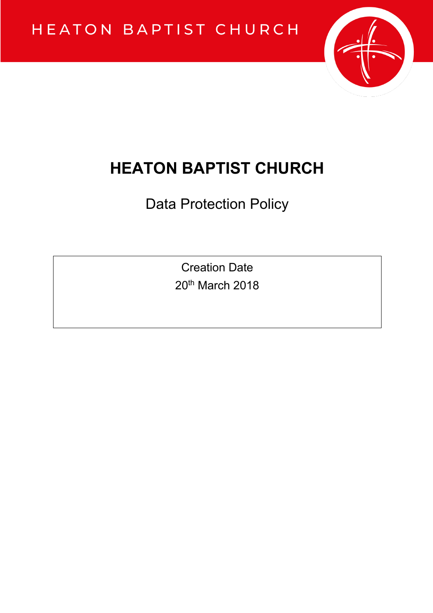HEATON BAPTIST CHURCH



# **HEATON BAPTIST CHURCH**

Data Protection Policy

Creation Date 20<sup>th</sup> March 2018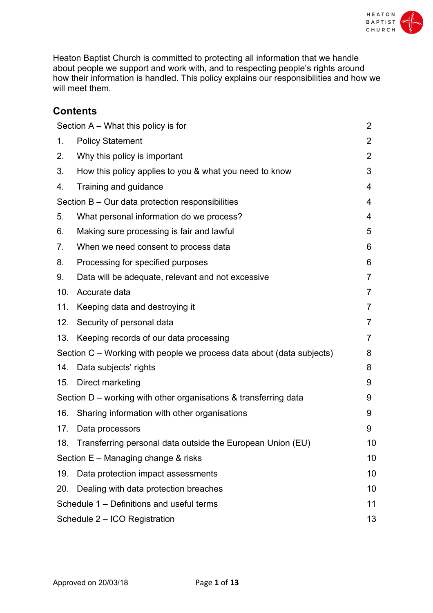

Heaton Baptist Church is committed to protecting all information that we handle about people we support and work with, and to respecting people's rights around how their information is handled. This policy explains our responsibilities and how we will meet them.

## **Contents**

| Section $A - What$ this policy is for                                 |                                                                | $\overline{2}$ |
|-----------------------------------------------------------------------|----------------------------------------------------------------|----------------|
| 1.                                                                    | <b>Policy Statement</b>                                        | $\overline{2}$ |
| 2.                                                                    | Why this policy is important                                   | $\overline{2}$ |
| 3.                                                                    | How this policy applies to you & what you need to know         | 3              |
| 4.                                                                    | Training and guidance                                          | 4              |
| Section B – Our data protection responsibilities                      |                                                                | 4              |
| 5.                                                                    | What personal information do we process?                       | 4              |
| 6.                                                                    | Making sure processing is fair and lawful                      | 5              |
| 7.                                                                    | When we need consent to process data                           | 6              |
| 8.                                                                    | Processing for specified purposes                              | 6              |
| 9.                                                                    | Data will be adequate, relevant and not excessive              | 7              |
| 10.                                                                   | Accurate data                                                  | 7              |
| 11.                                                                   | Keeping data and destroying it                                 | $\overline{7}$ |
| 12.                                                                   | Security of personal data                                      | 7              |
| 13.                                                                   | Keeping records of our data processing                         | 7              |
| Section C – Working with people we process data about (data subjects) |                                                                | 8              |
| 14.                                                                   | Data subjects' rights                                          | 8              |
| 15.                                                                   | Direct marketing                                               | 9              |
| Section D – working with other organisations & transferring data      |                                                                | 9              |
| 16.                                                                   | Sharing information with other organisations                   | 9              |
| 17.                                                                   | Data processors                                                | 9              |
|                                                                       | 18. Transferring personal data outside the European Union (EU) | 10             |
| Section E - Managing change & risks                                   |                                                                | 10             |
| 19.                                                                   | Data protection impact assessments                             | 10             |
| 20.                                                                   | Dealing with data protection breaches                          | 10             |
| Schedule 1 - Definitions and useful terms                             |                                                                | 11             |
| Schedule 2 - ICO Registration                                         |                                                                | 13             |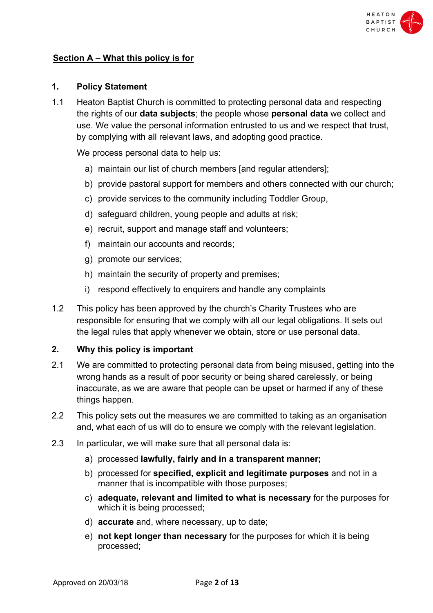

## **Section A – What this policy is for**

#### **1. Policy Statement**

1.1 Heaton Baptist Church is committed to protecting personal data and respecting the rights of our **data subjects**; the people whose **personal data** we collect and use. We value the personal information entrusted to us and we respect that trust, by complying with all relevant laws, and adopting good practice.

We process personal data to help us:

- a) maintain our list of church members [and regular attenders];
- b) provide pastoral support for members and others connected with our church;
- c) provide services to the community including Toddler Group,
- d) safeguard children, young people and adults at risk;
- e) recruit, support and manage staff and volunteers;
- f) maintain our accounts and records;
- g) promote our services;
- h) maintain the security of property and premises;
- i) respond effectively to enquirers and handle any complaints
- 1.2 This policy has been approved by the church's Charity Trustees who are responsible for ensuring that we comply with all our legal obligations. It sets out the legal rules that apply whenever we obtain, store or use personal data.

## **2. Why this policy is important**

- 2.1 We are committed to protecting personal data from being misused, getting into the wrong hands as a result of poor security or being shared carelessly, or being inaccurate, as we are aware that people can be upset or harmed if any of these things happen.
- 2.2 This policy sets out the measures we are committed to taking as an organisation and, what each of us will do to ensure we comply with the relevant legislation.
- 2.3 In particular, we will make sure that all personal data is:
	- a) processed **lawfully, fairly and in a transparent manner;**
	- b) processed for **specified, explicit and legitimate purposes** and not in a manner that is incompatible with those purposes;
	- c) **adequate, relevant and limited to what is necessary** for the purposes for which it is being processed;
	- d) **accurate** and, where necessary, up to date;
	- e) **not kept longer than necessary** for the purposes for which it is being processed;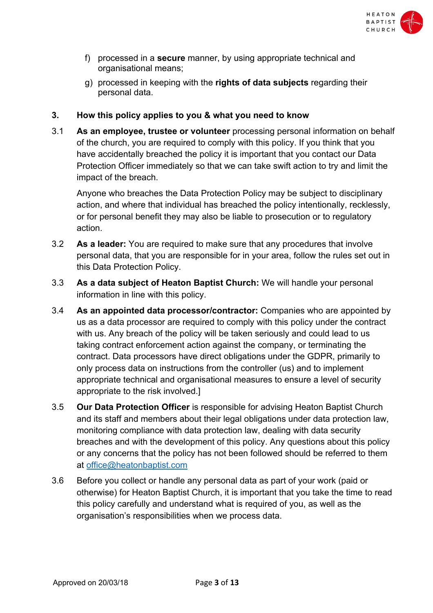

- f) processed in a **secure** manner, by using appropriate technical and organisational means;
- g) processed in keeping with the **rights of data subjects** regarding their personal data.

## **3. How this policy applies to you & what you need to know**

3.1 **As an employee, trustee or volunteer** processing personal information on behalf of the church, you are required to comply with this policy. If you think that you have accidentally breached the policy it is important that you contact our Data Protection Officer immediately so that we can take swift action to try and limit the impact of the breach.

Anyone who breaches the Data Protection Policy may be subject to disciplinary action, and where that individual has breached the policy intentionally, recklessly, or for personal benefit they may also be liable to prosecution or to regulatory action.

- 3.2 **As a leader:** You are required to make sure that any procedures that involve personal data, that you are responsible for in your area, follow the rules set out in this Data Protection Policy.
- 3.3 **As a data subject of Heaton Baptist Church:** We will handle your personal information in line with this policy.
- 3.4 **As an appointed data processor/contractor:** Companies who are appointed by us as a data processor are required to comply with this policy under the contract with us. Any breach of the policy will be taken seriously and could lead to us taking contract enforcement action against the company, or terminating the contract. Data processors have direct obligations under the GDPR, primarily to only process data on instructions from the controller (us) and to implement appropriate technical and organisational measures to ensure a level of security appropriate to the risk involved.]
- 3.5 **Our Data Protection Officer** is responsible for advising Heaton Baptist Church and its staff and members about their legal obligations under data protection law, monitoring compliance with data protection law, dealing with data security breaches and with the development of this policy. Any questions about this policy or any concerns that the policy has not been followed should be referred to them at office@heatonbaptist.com
- 3.6 Before you collect or handle any personal data as part of your work (paid or otherwise) for Heaton Baptist Church, it is important that you take the time to read this policy carefully and understand what is required of you, as well as the organisation's responsibilities when we process data.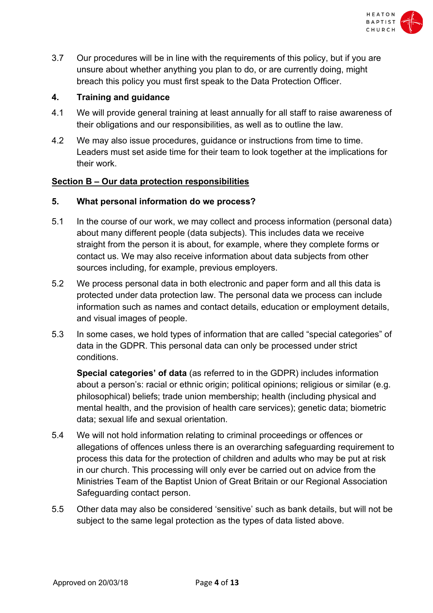

3.7 Our procedures will be in line with the requirements of this policy, but if you are unsure about whether anything you plan to do, or are currently doing, might breach this policy you must first speak to the Data Protection Officer.

## **4. Training and guidance**

- 4.1 We will provide general training at least annually for all staff to raise awareness of their obligations and our responsibilities, as well as to outline the law.
- 4.2 We may also issue procedures, guidance or instructions from time to time. Leaders must set aside time for their team to look together at the implications for their work.

## **Section B – Our data protection responsibilities**

## **5. What personal information do we process?**

- 5.1 In the course of our work, we may collect and process information (personal data) about many different people (data subjects). This includes data we receive straight from the person it is about, for example, where they complete forms or contact us. We may also receive information about data subjects from other sources including, for example, previous employers.
- 5.2 We process personal data in both electronic and paper form and all this data is protected under data protection law. The personal data we process can include information such as names and contact details, education or employment details, and visual images of people.
- 5.3 In some cases, we hold types of information that are called "special categories" of data in the GDPR. This personal data can only be processed under strict conditions.

**Special categories' of data** (as referred to in the GDPR) includes information about a person's: racial or ethnic origin; political opinions; religious or similar (e.g. philosophical) beliefs; trade union membership; health (including physical and mental health, and the provision of health care services); genetic data; biometric data; sexual life and sexual orientation.

- 5.4 We will not hold information relating to criminal proceedings or offences or allegations of offences unless there is an overarching safeguarding requirement to process this data for the protection of children and adults who may be put at risk in our church. This processing will only ever be carried out on advice from the Ministries Team of the Baptist Union of Great Britain or our Regional Association Safeguarding contact person.
- 5.5 Other data may also be considered 'sensitive' such as bank details, but will not be subject to the same legal protection as the types of data listed above.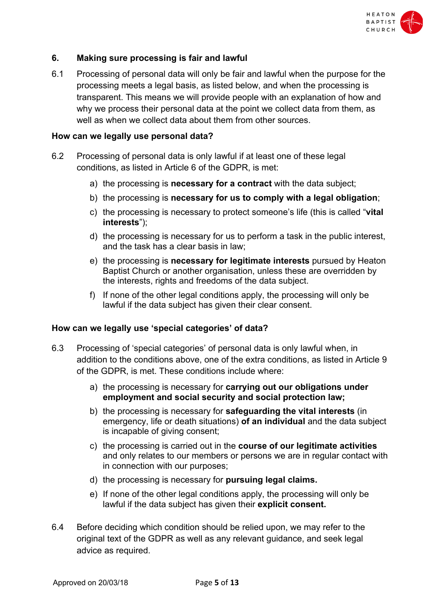

#### **6. Making sure processing is fair and lawful**

6.1 Processing of personal data will only be fair and lawful when the purpose for the processing meets a legal basis, as listed below, and when the processing is transparent. This means we will provide people with an explanation of how and why we process their personal data at the point we collect data from them, as well as when we collect data about them from other sources.

#### **How can we legally use personal data?**

- 6.2 Processing of personal data is only lawful if at least one of these legal conditions, as listed in Article 6 of the GDPR, is met:
	- a) the processing is **necessary for a contract** with the data subject;
	- b) the processing is **necessary for us to comply with a legal obligation**;
	- c) the processing is necessary to protect someone's life (this is called "**vital interests**");
	- d) the processing is necessary for us to perform a task in the public interest, and the task has a clear basis in law;
	- e) the processing is **necessary for legitimate interests** pursued by Heaton Baptist Church or another organisation, unless these are overridden by the interests, rights and freedoms of the data subject.
	- f) If none of the other legal conditions apply, the processing will only be lawful if the data subject has given their clear consent.

#### **How can we legally use 'special categories' of data?**

- 6.3 Processing of 'special categories' of personal data is only lawful when, in addition to the conditions above, one of the extra conditions, as listed in Article 9 of the GDPR, is met. These conditions include where:
	- a) the processing is necessary for **carrying out our obligations under employment and social security and social protection law;**
	- b) the processing is necessary for **safeguarding the vital interests** (in emergency, life or death situations) **of an individual** and the data subject is incapable of giving consent;
	- c) the processing is carried out in the **course of our legitimate activities** and only relates to our members or persons we are in regular contact with in connection with our purposes;
	- d) the processing is necessary for **pursuing legal claims.**
	- e) If none of the other legal conditions apply, the processing will only be lawful if the data subject has given their **explicit consent.**
- 6.4 Before deciding which condition should be relied upon, we may refer to the original text of the GDPR as well as any relevant guidance, and seek legal advice as required.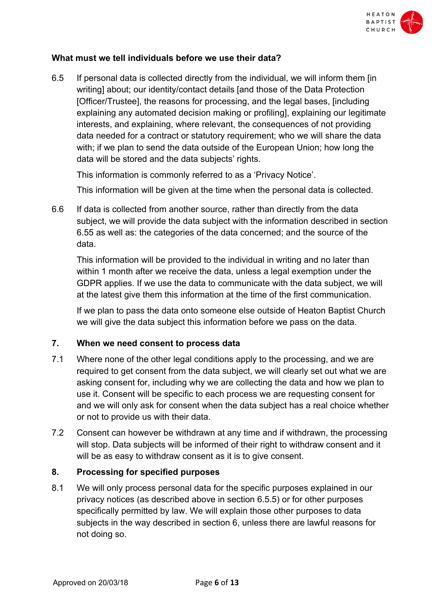

#### **What must we tell individuals before we use their data?**

6.5 If personal data is collected directly from the individual, we will inform them [in writing] about; our identity/contact details [and those of the Data Protection [Officer/Trustee], the reasons for processing, and the legal bases, [including explaining any automated decision making or profiling], explaining our legitimate interests, and explaining, where relevant, the consequences of not providing data needed for a contract or statutory requirement; who we will share the data with; if we plan to send the data outside of the European Union; how long the data will be stored and the data subjects' rights.

This information is commonly referred to as a 'Privacy Notice'.

This information will be given at the time when the personal data is collected.

6.6 If data is collected from another source, rather than directly from the data subject, we will provide the data subject with the information described in section 6.55 as well as: the categories of the data concerned; and the source of the data.

This information will be provided to the individual in writing and no later than within 1 month after we receive the data, unless a legal exemption under the GDPR applies. If we use the data to communicate with the data subject, we will at the latest give them this information at the time of the first communication.

If we plan to pass the data onto someone else outside of Heaton Baptist Church we will give the data subject this information before we pass on the data.

## **7. When we need consent to process data**

- 7.1 Where none of the other legal conditions apply to the processing, and we are required to get consent from the data subject, we will clearly set out what we are asking consent for, including why we are collecting the data and how we plan to use it. Consent will be specific to each process we are requesting consent for and we will only ask for consent when the data subject has a real choice whether or not to provide us with their data.
- 7.2 Consent can however be withdrawn at any time and if withdrawn, the processing will stop. Data subjects will be informed of their right to withdraw consent and it will be as easy to withdraw consent as it is to give consent.

## **8. Processing for specified purposes**

8.1 We will only process personal data for the specific purposes explained in our privacy notices (as described above in section 6.5.5) or for other purposes specifically permitted by law. We will explain those other purposes to data subjects in the way described in section 6, unless there are lawful reasons for not doing so.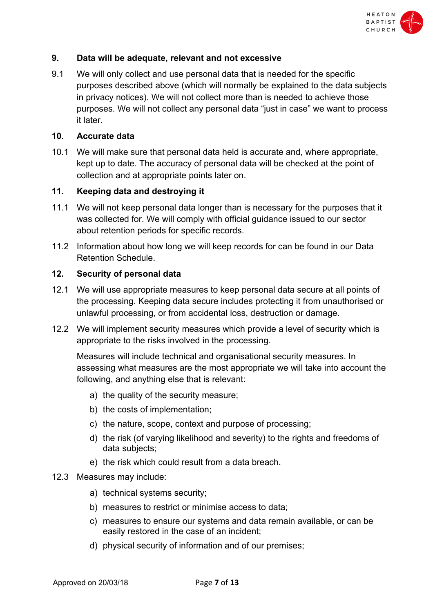

#### **9. Data will be adequate, relevant and not excessive**

9.1 We will only collect and use personal data that is needed for the specific purposes described above (which will normally be explained to the data subjects in privacy notices). We will not collect more than is needed to achieve those purposes. We will not collect any personal data "just in case" we want to process it later.

#### **10. Accurate data**

10.1 We will make sure that personal data held is accurate and, where appropriate, kept up to date. The accuracy of personal data will be checked at the point of collection and at appropriate points later on.

#### **11. Keeping data and destroying it**

- 11.1 We will not keep personal data longer than is necessary for the purposes that it was collected for. We will comply with official guidance issued to our sector about retention periods for specific records.
- 11.2 Information about how long we will keep records for can be found in our Data Retention Schedule.

#### **12. Security of personal data**

- 12.1 We will use appropriate measures to keep personal data secure at all points of the processing. Keeping data secure includes protecting it from unauthorised or unlawful processing, or from accidental loss, destruction or damage.
- 12.2 We will implement security measures which provide a level of security which is appropriate to the risks involved in the processing.

Measures will include technical and organisational security measures. In assessing what measures are the most appropriate we will take into account the following, and anything else that is relevant:

- a) the quality of the security measure;
- b) the costs of implementation;
- c) the nature, scope, context and purpose of processing;
- d) the risk (of varying likelihood and severity) to the rights and freedoms of data subjects;
- e) the risk which could result from a data breach.

#### 12.3 Measures may include:

- a) technical systems security;
- b) measures to restrict or minimise access to data;
- c) measures to ensure our systems and data remain available, or can be easily restored in the case of an incident;
- d) physical security of information and of our premises;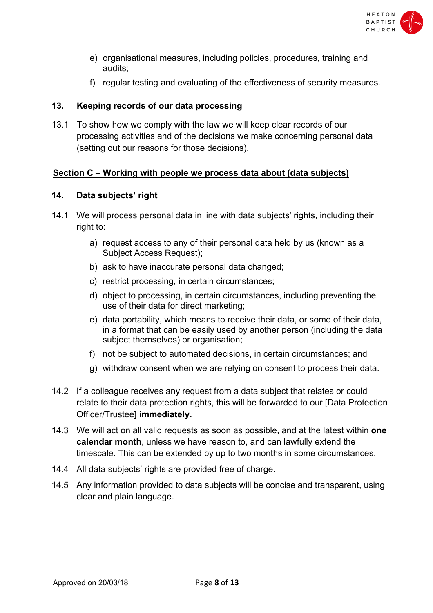

- e) organisational measures, including policies, procedures, training and audits;
- f) regular testing and evaluating of the effectiveness of security measures.

## **13. Keeping records of our data processing**

13.1 To show how we comply with the law we will keep clear records of our processing activities and of the decisions we make concerning personal data (setting out our reasons for those decisions).

#### **Section C – Working with people we process data about (data subjects)**

#### **14. Data subjects' right**

- 14.1 We will process personal data in line with data subjects' rights, including their right to:
	- a) request access to any of their personal data held by us (known as a Subject Access Request);
	- b) ask to have inaccurate personal data changed;
	- c) restrict processing, in certain circumstances;
	- d) object to processing, in certain circumstances, including preventing the use of their data for direct marketing;
	- e) data portability, which means to receive their data, or some of their data, in a format that can be easily used by another person (including the data subject themselves) or organisation;
	- f) not be subject to automated decisions, in certain circumstances; and
	- g) withdraw consent when we are relying on consent to process their data.
- 14.2 If a colleague receives any request from a data subject that relates or could relate to their data protection rights, this will be forwarded to our IData Protection Officer/Trustee] **immediately.**
- 14.3 We will act on all valid requests as soon as possible, and at the latest within **one calendar month**, unless we have reason to, and can lawfully extend the timescale. This can be extended by up to two months in some circumstances.
- 14.4 All data subiects' rights are provided free of charge.
- 14.5 Any information provided to data subjects will be concise and transparent, using clear and plain language.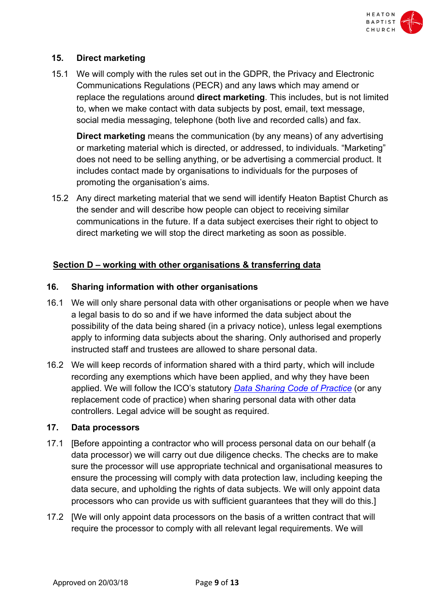

## **15. Direct marketing**

15.1. We will comply with the rules set out in the GDPR, the Privacy and Electronic Communications Regulations (PECR) and any laws which may amend or replace the regulations around **direct marketing**. This includes, but is not limited to, when we make contact with data subjects by post, email, text message, social media messaging, telephone (both live and recorded calls) and fax.

**Direct marketing** means the communication (by any means) of any advertising or marketing material which is directed, or addressed, to individuals. "Marketing" does not need to be selling anything, or be advertising a commercial product. It includes contact made by organisations to individuals for the purposes of promoting the organisation's aims.

15.2. Any direct marketing material that we send will identify Heaton Baptist Church as the sender and will describe how people can object to receiving similar communications in the future. If a data subject exercises their right to object to direct marketing we will stop the direct marketing as soon as possible.

## **Section D – working with other organisations & transferring data**

## **16. Sharing information with other organisations**

- 16.1 We will only share personal data with other organisations or people when we have a legal basis to do so and if we have informed the data subject about the possibility of the data being shared (in a privacy notice), unless legal exemptions apply to informing data subjects about the sharing. Only authorised and properly instructed staff and trustees are allowed to share personal data.
- 16.2 We will keep records of information shared with a third party, which will include recording any exemptions which have been applied, and why they have been applied. We will follow the ICO's statutory *Data Sharing Code of Practice* (or any replacement code of practice) when sharing personal data with other data controllers. Legal advice will be sought as required.

#### **17. Data processors**

- 17.1 [Before appointing a contractor who will process personal data on our behalf (a data processor) we will carry out due diligence checks. The checks are to make sure the processor will use appropriate technical and organisational measures to ensure the processing will comply with data protection law, including keeping the data secure, and upholding the rights of data subjects. We will only appoint data processors who can provide us with sufficient guarantees that they will do this.]
- 17.2 [We will only appoint data processors on the basis of a written contract that will require the processor to comply with all relevant legal requirements. We will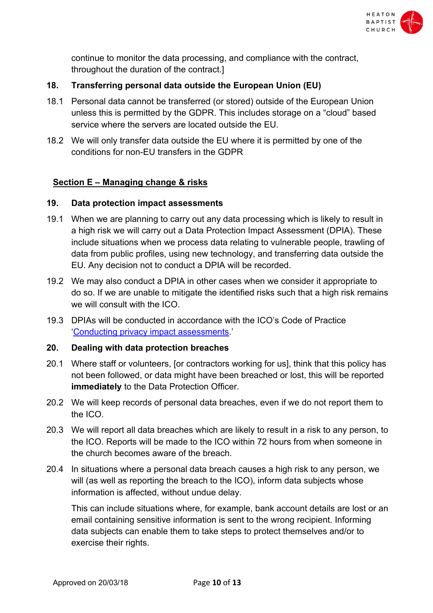

continue to monitor the data processing, and compliance with the contract, throughout the duration of the contract.]

## **18. Transferring personal data outside the European Union (EU)**

- 18.1 Personal data cannot be transferred (or stored) outside of the European Union unless this is permitted by the GDPR. This includes storage on a "cloud" based service where the servers are located outside the EU.
- 18.2 We will only transfer data outside the EU where it is permitted by one of the conditions for non-EU transfers in the GDPR

#### **Section E – Managing change & risks**

#### **19. Data protection impact assessments**

- 19.1 When we are planning to carry out any data processing which is likely to result in a high risk we will carry out a Data Protection Impact Assessment (DPIA). These include situations when we process data relating to vulnerable people, trawling of data from public profiles, using new technology, and transferring data outside the EU. Any decision not to conduct a DPIA will be recorded.
- 19.2 We may also conduct a DPIA in other cases when we consider it appropriate to do so. If we are unable to mitigate the identified risks such that a high risk remains we will consult with the ICO.
- 19.3 DPIAs will be conducted in accordance with the ICO's Code of Practice 'Conducting privacy impact assessments.'

#### **20. Dealing with data protection breaches**

- 20.1 Where staff or volunteers, [or contractors working for us], think that this policy has not been followed, or data might have been breached or lost, this will be reported **immediately** to the Data Protection Officer.
- 20.2 We will keep records of personal data breaches, even if we do not report them to the ICO.
- 20.3 We will report all data breaches which are likely to result in a risk to any person, to the ICO. Reports will be made to the ICO within 72 hours from when someone in the church becomes aware of the breach.
- 20.4 In situations where a personal data breach causes a high risk to any person, we will (as well as reporting the breach to the ICO), inform data subjects whose information is affected, without undue delay.

This can include situations where, for example, bank account details are lost or an email containing sensitive information is sent to the wrong recipient. Informing data subjects can enable them to take steps to protect themselves and/or to exercise their rights.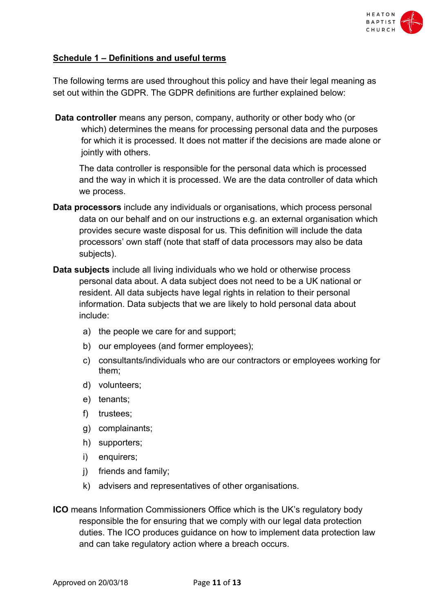

## **Schedule 1 – Definitions and useful terms**

The following terms are used throughout this policy and have their legal meaning as set out within the GDPR. The GDPR definitions are further explained below:

**Data controller** means any person, company, authority or other body who (or which) determines the means for processing personal data and the purposes for which it is processed. It does not matter if the decisions are made alone or jointly with others.

The data controller is responsible for the personal data which is processed and the way in which it is processed. We are the data controller of data which we process.

- **Data processors** include any individuals or organisations, which process personal data on our behalf and on our instructions e.g. an external organisation which provides secure waste disposal for us. This definition will include the data processors' own staff (note that staff of data processors may also be data subjects).
- **Data subjects** include all living individuals who we hold or otherwise process personal data about. A data subject does not need to be a UK national or resident. All data subjects have legal rights in relation to their personal information. Data subjects that we are likely to hold personal data about include:
	- a) the people we care for and support;
	- b) our employees (and former employees);
	- c) consultants/individuals who are our contractors or employees working for them;
	- d) volunteers;
	- e) tenants;
	- f) trustees;
	- g) complainants;
	- h) supporters;
	- i) enquirers;
	- j) friends and family;
	- k) advisers and representatives of other organisations.
- **ICO** means Information Commissioners Office which is the UK's regulatory body responsible the for ensuring that we comply with our legal data protection duties. The ICO produces guidance on how to implement data protection law and can take regulatory action where a breach occurs.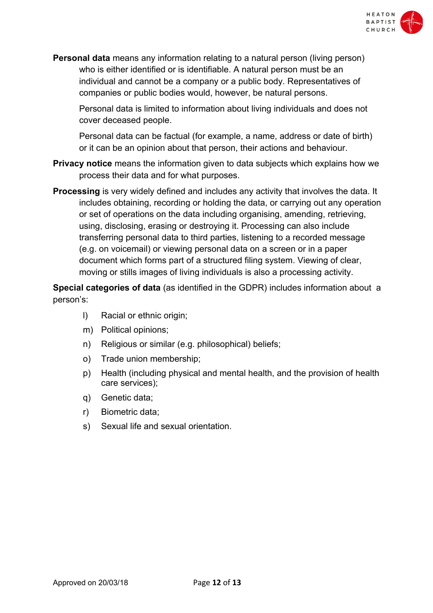

**Personal data** means any information relating to a natural person (living person) who is either identified or is identifiable. A natural person must be an individual and cannot be a company or a public body. Representatives of companies or public bodies would, however, be natural persons.

Personal data is limited to information about living individuals and does not cover deceased people.

Personal data can be factual (for example, a name, address or date of birth) or it can be an opinion about that person, their actions and behaviour.

- **Privacy notice** means the information given to data subjects which explains how we process their data and for what purposes.
- **Processing** is very widely defined and includes any activity that involves the data. It includes obtaining, recording or holding the data, or carrying out any operation or set of operations on the data including organising, amending, retrieving, using, disclosing, erasing or destroying it. Processing can also include transferring personal data to third parties, listening to a recorded message (e.g. on voicemail) or viewing personal data on a screen or in a paper document which forms part of a structured filing system. Viewing of clear, moving or stills images of living individuals is also a processing activity.

**Special categories of data** (as identified in the GDPR) includes information about a person's:

- l) Racial or ethnic origin:
- m) Political opinions;
- n) Religious or similar (e.g. philosophical) beliefs;
- o) Trade union membership;
- p) Health (including physical and mental health, and the provision of health care services);
- q) Genetic data;
- r) Biometric data;
- s) Sexual life and sexual orientation.